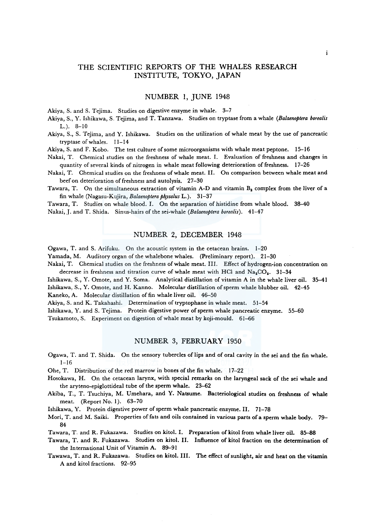# THE SCIENTIFIC REPORTS OF THE WHALES RESEARCH INSTITUTE, TOKYO, JAPAN

### NUMBER l, JUNE 1948

Akiya, S. and S. Tejima. Studies on digestive enzyme in whale. 3-7

- Akiya, S., Y. Ishikawa, S. Tejima, and T. Tanzawa. Studies on tryptase from a whale *(Balaenoptera borealis*  L.). 8-10
- Akiya, S., S. Tejima, and Y. Ishikawa. Studies on the utilization of whale meat by the use of pancreatic tryptase of whales. 11-14

Akiya, S. and F. Kobo. The test culture of some microorganisms with whale meat peptone. 15-16

- Nakai, T. Chemical studies on the freshness of whale meat. I. Evaluation of freshness and changes in quantity of several kinds of nitrogen in whale meat following deterioration of freshness. 17-26
- Nakai, T. Chemical studies on the freshness of whale meat. II. On comparison between whale meat and beef on deterioration of freshness and autolysis. 27-30
- Tawara, T. On the simultaneous extraction of vitamin A-D and vitamin  $B_2$  complex from the liver of a fin whale (Nagasu-Kujira, *Balaenoptera physalus* L.). 31-37

Tawara, T. Studies on whale blood. I. On the separation of histidine from whale blood. 38-40 Nakai,.J. and T. Shida. Sinus-hairs of the sei-whale *(Balaenoptera borealis).* 41-47

## NUMBER 2, DECEMBER 1948

Ogawa, T. and S. Arifuku. On the acoustic system in the cetacean brains. 1-20

Yamada, M. Auditory organ of the whalebone whales. (Preliminary report). 21-30

Nakai, T. Chemical studies on the freshness of whale meat. III. Effect of hydrogen-ion concentration on decrease in freshness and titration curve of whale meat with HCl and  $Na_2CO_2$ . 31-34

Ishikawa, S., Y. Omote, and Y. Soma. Analytical distillation of vitamin A in the whale liver oil. 35-41 Ishikawa, S., Y. Omote, and H. Kanno. Molecular distillation of sperm whale blubber oil. 42-45

Kaneko, A. Molecular distillation of fin whale liver oil. 46-50

Akiya, S. and K. Takahashi. Determination of tryptophane in whale meat. 51-54

Ishikawa, Y. and S. Tejima. Protein digestive power of sperm whale pancreatic enzyme. 55-60

Tsukamoto, S. Experiment on digestion of whale meat by koji-mould. 61-66

#### NUMBER 3, FEBRUARY 1950

- Ogawa, T. and T. Shida. On the sensory tubercles of lips and of oral cavity in the sei and the fin whale.  $1 - 16$
- Ohe, T. Distribution of the red marrow in bones of the fin whale. 17--22
- Hosokawa, H. On the cetacean larynx, with special remarks on the laryngeal sack of the sei whale and the aryteno-epiglottideal tube of the sperm whale. 23--62
- Akiba, T., T. Tsuchiya, M. Umehara, and Y. Natsume. Bacteriological studies on freshness of whale meat. (Report No. 1). 63-70

Ishikawa, Y. Protein digestive power of sperm whale pancreatic enzyme. II. 71-78

- Mori, T. and M. Saiki. Properties of fats and oils contained in various parts of a sperm whale body. 79- 84
- Tawara, T. and R. Fukazawa. Studies on kitol. I. Preparation of kitol from whale liver oil. 85-88
- Tawara, T. and R. Fukazawa. Studies on kitol. II. Influence of kitol fraction on the determination of the International Unit of Vitamin A. 89-91
- Tawawa, T. and R. Fukazawa. Studies on kitol. Ill. The effect of sunlight, air and heat on the vitamin A and kitol fractions. 92-95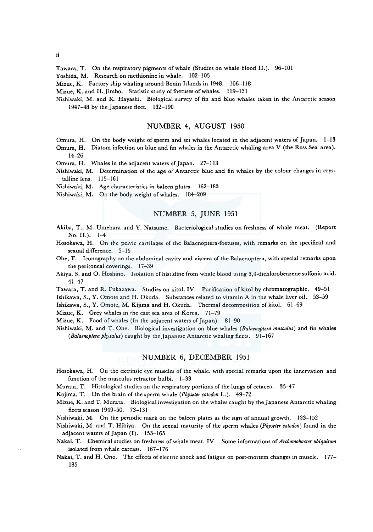Tawara, T. On the respiratory pigments of whale (Studies on whale blood II.). 96-101

Yoshida, M. Research on methionine in whale. 102-105

Mizue, K. Factory ship whaling around Bonin Islands in 1948. 106-118

Mizue, K. and H. Jimbo. Statistic study of foetuses of whales. 119-131

Nishiwaki, M. and K. Hayashi. Biological survey of fin and blue whales taken in the Antarctic season 1947-48 by the Japanese fleet. 132-190

### NUMBER 4, AUGUST 1950

- Omura, H. On the body weight of sperm and sei whales located in the adjacent waters of Japan. 1-13
- Omura, H. Diatom infection on blue and fin whales in the Antarctic whaling area V (the Ross Sea area).  $14 - 26$
- Omura, H. Whales in the adjacent waters of Japan. 27-113
- Nishiwaki, M. Determination of the age of Antarctic blue and fin whales by the colour changes in crystalline lens. 115-161
- Nishiwaki, M. Age characteristics in baleen plates. 162-183

Nishiwaki, M. On the body weight of whales. 184-209

## NUMBER 5, JUNE 1951

- Akiba, T., M. Umehara and Y. Natsume. Bacteriological studies on freshness of whale meat. (Report No. II.).  $1-4$
- Hosokawa, H. On the pelvic cartilages of the Balaenoptera-foetuses, with remarks on the specifical and sexual difference. 5-15
- Ohe, T. Iconography on the abdominal cavity and viscera of the Balaenoptera, with special remarks upon the peritoneal coverings. 17-39
- Akiya, S. and 0. Hoshino. Isolation of histidine from whale blood using 3,4-dichlorobenzene sulfonic acid. 41-47
- Tawara, T. and R. Fukazawa. Studies on kitol. IV. Purification of kitol by chromatographic. 49-51

Ishikawa, S., Y. Omote and H. Okuda. Substances related to vitamin A in the whale liver oil. 53-59

Ishikawa, S., Y. Omote, M. Kijima and H. Okuda. Thermal decomposition of kitol. 61-69

Mizue, K. Grey whales in the east sea area of Korea. 71-79

Mizue, K. Food of whales (In the adjacent waters of Japan). 81-90

Nishiwaki, M. and T. Ohe. Biological investigation on blue whales *(Balaenoptera musculus)* and fin whales *(Balaenoptera physalus)* caught by the Japanese Antarctic whaling fleets. 91-167

### NUMBER 6, DECEMBER 1951

Hosokawa, H. On the extrinsic eye muscles of the whale. with special remarks upon the innervation and function of the musculus retractor bulbi. 1-33

Murata, T. Histological studies on the respiratory portions of the lungs of cetacea. 35-47

Kojima, T. On the brain of the sperm whale *(Physeter catodon* L.). 49-72

Mizue, K. and T. Murata. Biological investigation on the whales caught by the Japanese Antarctic whaling fleets season 1949-50. 73-131

Nishiwaki, M. On the periodic mark on the baleen plates as the sign of annual growth. 133-152

Nishiwaki, M. and T. Hibiya. On the sexual maturity of the sperm whales (Physeter catodon) found in the adjacent waters of Japan (I). 153-165

- Nakai, T. Chemical studies on freshness of whale meat. IV. Some informations of *Archomobacter ubiquitum*  isolated from whale carcass. 167-176
- Nakai, T. and H. Ono. The effects of electric shock and fatigue on post-mortem changes in muscle. 177- 185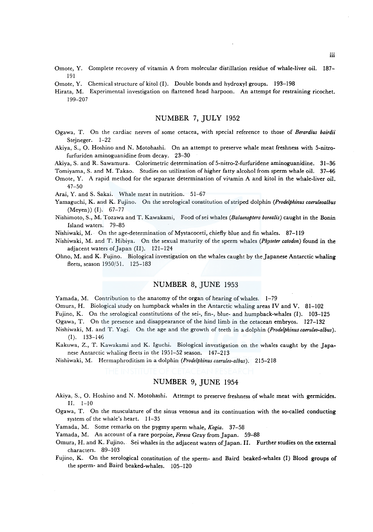- Omote, Y. Complete recovery of vitamin A from molecular distillation residue of whale-liver oil. 187- 191
- Omote, Y. Chemical structure of kitol (I). Double bonds and hydroxyl groups. 193-198
- Hirata, M. Experimental investigation on flattened head harpoon. An attempt for restraining ricochet. 199-207

# NUMBER 7, JULY 1952

- Ogawa, T. On the cardiac nerves of some cetacea, with special reference to those of *Berardius bairdii*  Stejneger. 1-22
- Akiya, S., 0. Hoshino and N. Motohashi. On an attempt to preserve whale meat freshness with 5-nitrofurfuriden aminoguanidine from decay. 23-30
- Akiya, S. and R. Sawamura. Colorimetric determination of 5-nitro-2-furfuridene aminoguanidine. 31-36
- Tomiyama, S. and M. Takao. Studies on utilization of higher fatty alcohol from sperm whale oil. 37-46
- Omote, Y. A rapid method for the separate determination of vitamin A and kitol in the whale-liver oil. 47-50

Arai, Y. and S. Sakai. Whale meat in nutrition. 51-67

- Yamaguchi, K. and K. Fujino. On the serological constitution of striped dolphin *(Prodelphinus caeruleoalbus*  (Meyen)) (I). 67-77
- Nishimoto, S., M. Tozawa and T. Kawakami, Food ofsei whales *(Balaenoptera borealis)* caught in the Bonin Island waters. 79-85
- Nishiwaki, M. On the age-determination of Mystacoceti, chiefly blue and fin whales. 87-119
- Nishiwaki, M. and T. Hibiya. On the sexual maturity of the sperm whales *(Physeter catodon)* found in the adjacent waters of Japan (II). 121-124
- Ohno, M. and K. Fujino. Biological investigation on the whales caught by the Japanese Antarctic whaling fleets, season l 950/51. 125-183

## NUMBER 8, JUNE 1953

Yamada, M. Contribution to the anatomy of the organ of hearing of whales. 1-79

- Omura, H. Biological study on humpback whales in the Antarctic whaling areas IV and V. 81-102
- Fujino, K. On the serological constitutions of the sei-, fin-, blue- and humpback-whales (I). 103-125

Ogawa, T. On the presence and disappearance of the hind limb in the cetacean embryos. 127-132

- Nishiwaki, M. and T. Yagi. On the age and the growth of teeth in a dolphin *(Prodelphinuscaeruleo-albus).*  (I). 133-146
- Kakuwa, Z., T. Kawakami and K. Iguchi. Biological investigation on the whales caught by the Japanese Antarctic whaling fleets in the 1951-52 season. 147-213
- Nishiwaki, M. Hermaphroditism in a dolphin *(Prodelphinuscaeruleo-albus).* 215-218

### NUMBER 9, JUNE 1954

- Akiya, S., 0. Hoshino and N. Motohashi. Attempt to preserve freshness of whale meat with germicides. II. 1-10
- Ogawa, T. On the musculature of the sinus venosus and its continuation with the so-called conducting system of the whale's heart. 11-35
- Yamada, M. Some remarks on the pygmy sperm whale, *Kogia.* 37-58

Yamada, M. An account of a rare porpoise, *Feresa* Gray from Japan. 59-88

Omura, H. and K. Fujino. Sei whales in the adjacent waters of Japan. II. Further studies on the external characters. 89-103

Fujino, K. On the serological constitution of the sperm- and Baird beaked-whales (I) Blood groups of the sperm- and Baird beaked-whales. 105-120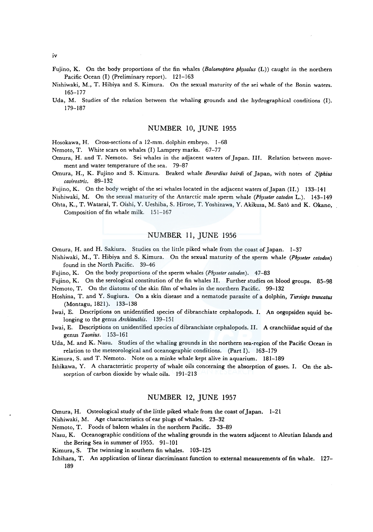- Fujino, K. On the body proportions of the fin whales *(Balaenoptera physalus* (L)) caught in the northern Pacific Ocean (I) (Preliminary report). 121-163
- Nishiwaki, M., T. Hibiya and S. Kimura. On the sexual maturity of the sei whale of the Bonin waters. 165-177
- Uda, M. Studies of the relation between the whaling grounds and the hydrographical conditions (I). 179-187

#### NUMBER 10, JUNE 1955

Hosokawa, H. Cross-sections of a 12-mm. dolphin embryo. 1-68

Nemoto, T. White scars on whales (I) Lamprey marks. 67-77

- Omura, H. and T. Nemoto. Sei whales in the adjacent waters of Japan. III. Relation between movement and water temperature of the sea. 79-87
- Omura, H., K. Fujino and S. Kimura. Beaked whale *Berardius bairdi* of Japan, with notes of *Ziphius cavirostris.* 89-132

Fujino, K. On the body weight of the sei whales located in the adjacent waters of Japan (II.) 133-141

Nishiwaki, M. On the sexual maturity of the Antarctic male sperm whale *(Physeter catodon* L.). 143-149

Ohta, K., T. Watarai, T. Oishi, Y. Ueshiba, S. Hirose, T. Yoshizawa, Y. Akikusa, M. Sato and K. Okano, Composition of fin whale milk. 151-167

### NUMBER 11, JUNE 1956

Omura, H. and H. Sakiura. Studies on the little piked whale from the coast of Japan. 1-37

- Nishiwaki, M., T. Hibiya and S. Kimura. On the sexual maturity of the sperm whale *(Physeter catodon)*  found in the North Pacific. 39-46
- Fujino, K. On the body proportions of the sperm whales (Physeter catodon). 47-83
- Fujino, K. On the serological constitution of the fin whales II. Further studies on blood groups. 85-98 Nemoto, T. On the diatoms of the skin film of whales in the northern Pacific. 99-132
- Hoshina, T. and Y. Sugiura. On a skin disease and a nematode parasite of a dolphin, *Tursiops truncatus*  (Montagu, 1821). 133-138
- Iwai, E. Descriptions on unidentified species of dibranchiate cephalopods. I. An oegopsiden squid belonging to the genus *Architeuthis.* 139-151
- Iwai, E. Descriptions on unidentified species of dibranchiate cephalopods. II. A cranchiidae squid of the genus *Taonius.* 153-161
- Uda, M. and K. Nasu. Studies of the whaling grounds in the northern sea-region of the Pacific Ocean in relation to the meteorological and oceanographic conditions. (Part I). 163-179

Kimura, S. and T. Nemoto. Note on a minke whale kept alive in aquarium. 181-189

Ishikawa, Y. A characteristic property of whale oils concerning the absorption of gases. I. On the absorption of carbon dioxide by whale oils. 191-213

### NUMBER 12, JUNE 1957

Omura, H. Osteological study of the little piked whale from the coast of Japan. 1-21

Nishiwaki, M. Age characteristics of ear plugs of whales. 23-32

Nemoto, T. Foods of baleen whales in the northern Pacific. 33-89

Nasu, K. Oceanographic conditions of the whaling grounds in the waters adjacent to Aleutian Islands and the Bering Sea in summer of 1955. 91-101

Kimura, S. The twinning in southern fin whales. 103-125

Ichihara, T. An application of linear discriminant function to external measurements of fin whale. 127- 189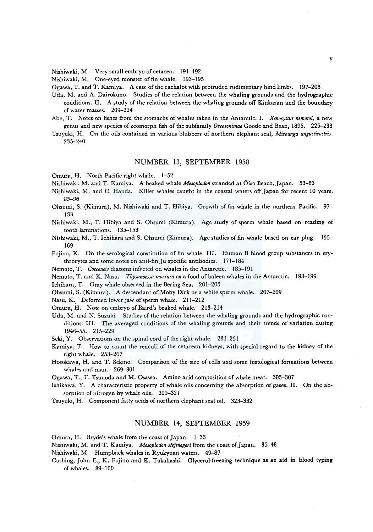Nishiwaki, M. Very small embryo of cetacea. 191-192

Nishiwaki, M. One-eyed monster of fin whale. 193-195

Ogawa, T. and T. Kamiya. A case of the cachalot with protruded rudimentary hind limbs. 197-208

- Uda, M. and A. Dairokuno. Studies of the relation between the whaling grounds and the hydrographic conditions. II. A study of the relation between the whaling grounds off Kinkazan and the boundary of water masses. 209-224
- Abe, T. Notes on fishes from the stomachs of whales taken in the Antarctic. I. *Xenocyttus nemotoi,* a new genus and new species of zeomorph fish of the subfamily *Oreosonimae* Goode and Bean, 1895. 225-233
- Tsuyuki, H. On the oils contained in various blubbers of northern elephant seal, *Mirounga angustirostris.*  235-240

### NUMBER 13, SEPTEMBER 1958

Omura, H. North Pacific right whale. 1-52

Nishiwaki, M. and T. Kamiya. A beaked whale *Mesoplodon* stranded at Oiso Beach, Japan. 53-83

- Nishiwaki, M. and C. Handa. Killer whales caught in the coastal waters off Japan for recent 10 years. 85-96
- Ohsumi, S. (Kimura), M. Nishiwaki and T. Hibiya. Growth of fin whale in the northern Pacific. 97- 133

Nishiwaki, M., T. Hibiya and S. Ohsumi (Kimura). Age study of sperm whale based on reading of tooth laminations. 135-153

- Nishiwaki, M., T. Ichihara and S. Ohsumi (Kimura). Age studies of fin whale based on ear plug. 155- 169
- Fujino, K. On the serological constitution of fin whale. III. Human B blood group substances in erythrocytes and some notes on anti-fin Ju specific antibodies. 171-184

Nemoto, T. *Cocconeis* diatoms infected on whales in the Antarctic. 185-191

Nemoto, T. and K. Nasu. *Thysanoessa macrura* as a food of baleen whales in the Antarctic. 193-199

Ichihara, T. Gray whale observed in the Bering Sea. 201-205

Ohsumi, S. (Kimura). A descendant of Moby Dick or a white sperm whale. 207-209

Nasu, K. Deformed lower jaw of sperm whale. 211-212

Omura, H. Note on embryo of Baird's beaked whale. 213-214

Uda, M. and N. Suzuki. Studies of the relation between the whaling grounds and the hydrographic conditions. III. The averaged conditions of the whaling grounds and their trends of variation during 1946-55. 215-229

Seki, Y. Observations on the spinal cord of the right whale. 231-251

- Kamiya, T. How to count the renculi of the cetacean kidneys, with special regard to the kidney of the right whale. 253-267
- Hosokawa, H. and T. Sekino. Comparison of the size of cells and some histological formations between whales and man. 269-301

Ogawa, T., T. Tsunoda and M. Osawa. Amino acid composition of whale meat. 303-307

- Ishikawa, Y. A characteristic property of whale oils concerning the absorption of gases. II. On the absorption of nitrogen by whale oils. 309-321
- Tsuyuki, H. Component fatty acids of northern elephant seal oil. 323-332

### NUMBER 14, SEPTEMBER 1959

Omura, H. Bryde's whale from the coast of Japan. 1-33

Nishiwaki, M. and T. Kamiya. *Mesoplodon stejenegeri* from the coast of Japan. 35-48

Nishiwaki, M. Humpback whales in Ryukyuan waters. 49-87

Cushing, John E., K. Fujino and K. Takahashi. Glycerol-freezing technique as an aid in blood typing of whales. 89-100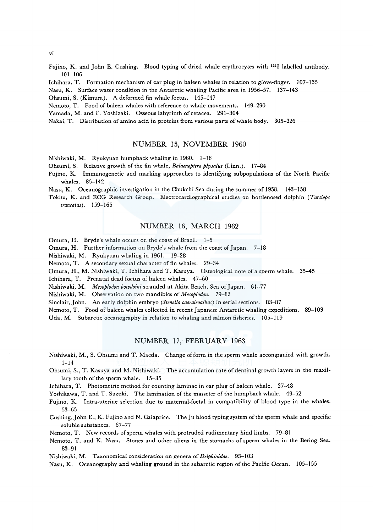vi

- Fujino, K. and John E. Cushing. Blood typing of dried whale erythrocytes with 1311 labelled antibody. 101-106
- Ichihara, T. Formation mechanism of ear plug in baleen whales in relation to glove-finger. 107-135
- Nasu, K. Surface water condition in the Antarctic whaling Pacific area in 1956-57. 137-143
- Ohsumi, S. (Kimura). A deformed fin whale foetus. 145-147
- Nemoto, T. Food of baleen whales with reference to whale movements. 149-290
- Yamada, M. and F. Yoshizaki. Osseous labyrinth of cetacea. 291-304
- Nakai, T. Distribution of amino acid in proteins from various parts of whale body. 305-326

## NUMBER 15, NOVEMBER 1960

Nishiwaki, M. Ryukyuan humpback whaling in 1960. 1-16

- Ohsumi, S. Relative growth of the fin whale, *Balaenoptera ph\_vsalus* (Linn.). 17-84
- Fujino, K. Immunogenetic and marking approaches to identifying subpopulations of the North Pacific whales. 85-142
- Nasu, K. Oceanographic investigation in the Chukchi Sea during the summer of 1958. 143-158
- Tokita, K. and ECG Research Group. Electrocardiographical studies on bottlenosed dolphin *(Tursiops truncatus).* 159-165

## NUMBER 16, MARCH 1962

Omura, H. Bryde's whale occurs on the coast of Brazil. 1-5

Omura, H. Further information on Bryde's whale from the coast of Japan. 7-18

Nishiwaki, M. Ryukyuan whaling in 1961. 19-28

Nemoto, T. A secondary sexual character of fin whales. 29-34

Omura, H., M. Nishiwaki, T. Ichihara and T. Kasuya. Osteological note of a sperm whale. 35-45

Ichihara, T. Prenatal dead foetus of baleen whales. 47-60

Nishiwaki, M. *Mesoplodon bowdoini* stranded at Akita Beach, Sea of Japan. 61-77

Nishiwaki, M. Observation on two mandibles of *Mesoplodon.* 79-82

Sinclair, John. An early dolphin embryo *(Stenella caeruleoalbus)* in serial sections. 83-87

Nemoto, T. Food of baleen whales collected in recent Japanese Antarctic whaling expeditions. 89-103 Uda, M. Subarctic oceanography in relation to whaling and salmon fisheries. 105-119

### NUMBER 17, FEBRUARY 1963

- Nishiwaki, M., S. Ohsumi and T. Maeda. Change of form in the sperm whale accompanied with growth. 1-14
- Ohsumi, S., T. Kasuya and M. Nishiwaki. The accumulation rate of dentinal growth layers in the maxillary tooth of the sperm whale. 15-35
- lchihara, T. Photometric method for counting laminae in ear plug of baleen whale. 37-48

Yoshikawa, T. and T. Suzuki. The lamination of the masseter of the humpback whale. 49-52

Fujino, K. Intra-uterine selection due to maternal-foetal in compatibility of blood type in the whales. 53-65

Cushing, John E., K. Fujino and N. Calaprice. The Ju blood typing system of the sperm whale and specific soluble substances. 67-77

Nemoto, T. New records of sperm whales with protruded rudimentary hind limbs. 79-81

Nemoto, T. and K. Nasu. Stones and other aliens in the stomachs of sperm whales in the Bering Sea. 83-91

Nishiwaki, M. Taxonomical consideration on genera of *Delphinidae.* 93-103

Nasu, K. Oceanography and whaling ground in the subarctic region of the Pacific Ocean. 105-155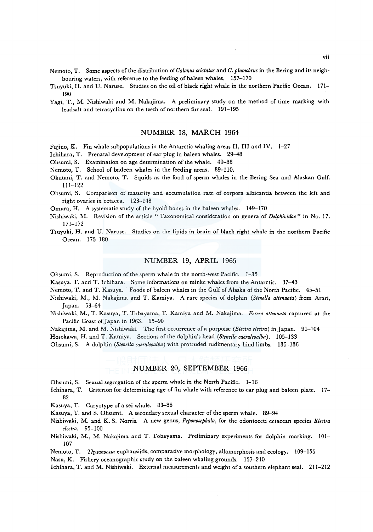- Nemoto, T. Some aspects of the distribution of *Ca/anus cristatus* and *C. plumchrus* in the Bering and its neighbouring waters, with reference to the feeding of baleen whales. 157-170
- Tsuyuki, H. and U. Naruse. Studies on the oil of black right whale in the northern Pacific Ocean. 171- 190
- Yagi, T., M. Nishiwaki and M. Nakajima. A preliminary study on the method of time marking with leadsalt and tetracycline on the teeth of northern fur seal. 191-195

### NUMBER 18, MARCH 1964

Fujino, K. Fin whale subpopulations in the Antarctic whaling areas II, III and IV. 1-27

Ichihara, T. Prenatal development of ear plug in baleen whales. 29-48

- Ohsumi, S. Examination on age determination of the whale. 49-88
- Nemoto, T. School of badeen whales in the feeding areas. 89-110.
- Okutani, T. and Nemoto, T. Squids as the food of sperm whales in the Bering Sea and Alaskan Gulf. 111-122
- Ohsumi, S. Comparison of maturity and accumulation rate of corpora albicantia between the left and right ovaries in cetacea. 123-148
- Omura, H. A systematic study of the hyoid bones in the baleen whales. 149-170
- Nishiwaki, M. Revision of the article " Taxonomical consideration on genera of *Delphinidae*" in No. 17. 171-172
- Tsuyuki, H. and U. Naruse. Studies on the lipids in brain of black right whale in the northern Pacific Ocean. 173-180

# NUMBER 19, APRIL 1965

Ohsumi, S. Reproduction of the sperm whale in the north-west Pacific. 1-35

Kasuya, T. and T. Ichihara. Some informations on minke whales from the Antarctic. 37-43

Nemoto, T. and T. Kasuya. Foods of baleen whales in the Gulf of Alaska of the North Pacific. 45-51

- Nishiwaki, M., M. Nakajima and T. Kamiya. A rare species of dolphin *(Stene/la attenuata)* from Arari, Japan. 53-64
- Nishiwaki, M., T. Kasuya, T. Tobayama, T. Kamiya and M. Nakajima. *Feresa attenuata* captured at the Pacific Coast of Japan in 1963. 65-90
- Nakajima, M. and M. Nishiwaki. The first occurrence ofa porpoise *(Electra electra)* in Japan. 91-104

Hosokawa, H. and T. Kamiya. Sections of the dolphin's head *(Stene/la caeruleoalba).* 105-133

Ohsumi, S. A dolphin *(Stene/la caeruleoalba)* with protruded rudimentary hind limbs. 135-136

# NUMBER 20, SEPTEMBER 1966

- Ohsumi, S. Sexual segregation of the sperm whale in the North Pacific.  $1-16$
- Ichihara, T. Criterion for determining age of fin whale with reference to ear plug and baleen plate. 17- 82
- Kasuya, T. Caryotype of a sei whale. 83-88
- Kasuya, T. and S. Ohsumi. A secondary sexual character of the sperm whale. 89-94
- Nishiwaki, M. and K. S. Norris. A new genus, *Peponocephala,* for the odontoceti cetacean species *Electra electra.* 95-100
- Nishiwaki, M., M. Nakajima and T. Tobayama. Preliminary experiments for dolphin marking. 101- 107
- Nemoto, T. *Thysanoessa* euphausiids, comparative morphology, allomorphosis and ecology. 109-155

Nasu, K. Fishery oceanographic study on the baleen whaling grounds. 157-210

Ichihara, T. and M. Nishiwaki. External measurements and weight of a southern elephant seal. 211-212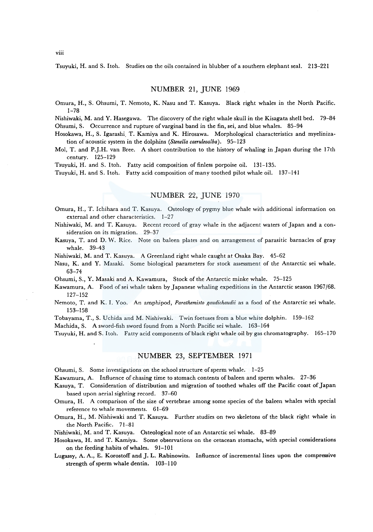Tsuyuki, H. and S. Itoh. Studies on the oils contained in blubber of a southern elephant seal. 213-221

### NUMBER 21, JUNE 1969

Omura, H., S. Ohsumi, T. Nemoto, K. Nasu and T. Kasuya. Black right whales in the North Pacific. 1-78

Nishiwaki, M. and Y. Hasegawa. The discovery of the right whale skull in the Kisagata shell bed. 79-84 Ohsumi, S. Occurrence and rupture of varginal band in the fin, sei, and blue whales. 85–94

Hosokawa, H., S. lgarashi. T. Kamiya and K. Hirosawa. Morphological characteristics and myelinization of acoustic system in the dolphins *(Stenella caeruleoalba).* 95-123

Mol, T. and P.J.H. van Bree. A short contribution to the history of whaling in Japan during the 17th century. 125-129

Tsuyuki, H. and S. Itoh. Fatty acid composition of finless porpoise oil. 131-135.

Tsuyuki, H. and S. Itoh. Fatty acid composition of many toothed pilot whale oil. 137-141

# NUMBER 22, JUNE 1970

- Omura, H., T. lchihara and T. Kasuya. Osteology of pygmy blue whale with additional information on external and other characteristics. 1-27
- Nishiwaki, M. and T. Kasuya. Recent record of gray whale in the adjacent waters of Japan and a consideration on its migration. 29-37
- Kasuya, T. and D. W. Rice. Note on baleen plates and on arrangement of parasitic barnacles of gray whale. 39-43

Nishiwaki, M. and T. Kasuya. A Greenland right whale caught at Osaka Bay. 45-62

Nasu, K. and Y. Masaki. Some biological parameters for stock assessment of *the* Antarctic sei whale. 63-74

Ohsumi, S., Y. Masaki and A. Kawamura, Stock of the Antarctic minke whale. 75-125

- Kawamura, A. Food ofsei whale taken by Japanese whaling expeditions in the Antarctic season 1967/68. 127-152
- Nemoto, T. and K. I. Yoo. An amphipod, *Parathemisto gaudichaudii* as a food of the Antarctic sei whale. 153-158
- Tobayama, T., S. Uchida and M. Nishiwaki. Twin foetuses from a blue white dolphin. 159-162

Machida, S. A sword-fish sword found from a North Pacific sei whale. 163-164

Tsuyuki, H. and S. I toh. Fatty acid components of black right whale oil by gas chromatography. 165-170

### NUMBER 23, SEPTEMBER 1971

Ohsumi, S. Some investigations on the school structure of sperm whale. 1-25

Kawamura, A. Influence of chasing time to stomach contents of baleen and sperm whales. 27-36

Kasuya, T. Consideration of distribution and migration of toothed whales off the Pacific coast of Japan based upon aerial sighting record. 37-60

Omura, H. A comparison of the size of vertebrae among some species of the baleen whales with special reference to whale movements. 61-69

Omura, H., M. Nishiwaki and T. Kasuya. Further studies on two skeletons of the black right whale in the North Pacific. 71-81

Nishiwaki, M. and T. Kasuya. Osteological note of an Antarctic sei whale. 83-89

Hosokawa, H. and T. Kamiya. Some observations on the cetacean stomachs, with special considerations on the feeding habits of whales. 91-101

Lugassy, A. A., E. Korostoff and J. L. Rabinowits. Influence of incremental lines upon the compressive strength of sperm whale dentin. 103-110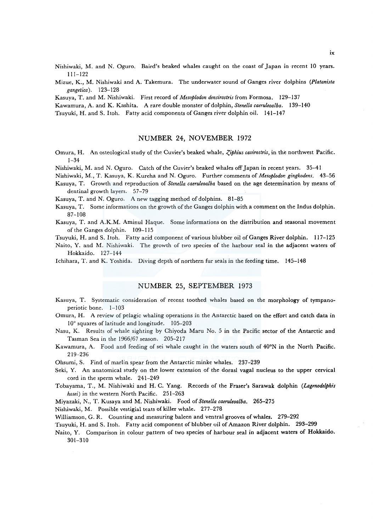- Nishiwaki, M. and N. Oguro. Baird's beaked whales caught on the coast of Japan in recent 10 years. 111-122
- Mizue, K., M. Nishiwaki and A. Takemura. The underwater sound of Ganges river dolphins *(Platanista gangetica).* 123-128
- Kasuya, T. and M. Nishiwaki. First record of *Mesoplodon densirostris* from Formosa. 129-137
- Kawamura, A. and K. Kashita. A rare double monster of dolphin, *Stenella caeruleoalba.* 139-140
- Tsuyuki, H. and S. Itoh. Fatty acid components of Ganges river dolphin oil. 141-147

### NUMBER 24, NOVEMBER 1972

- Omura, H. An osteological study of the Cuvier's beaked whale, *Ziphius cavirostris*, in the northwest Pacific. 1-34
- Nishiwaki, M. and N. Oguro. Catch of the Cuvier's beaked whales off Japan in recent years. 35-41
- Nishiwaki, M., T. Kasuya, K. Kureha and N. Oguro. Further comments of *Mesoplodon gingkodens.* 43-56 Kasuya, T. Growth and reproduction of *Stenella caeruleoalba* based on the age determination by means of
- dentinal growth layers. 57-79
- Kasuya, T. and N. Oguro. A new tagging method of dolphins. 81-85
- Kasuya, T. Some informations on the growth of the Ganges dolphin with a comment on the Indus dolphin. 87-108
- Kasuya, T. and A.K.M. Aminul Haque. Some informations on the distribution and seasonal movement of the Ganges dolphin. 109-115
- Tsuyuki, H. and S. Itoh. Fatty acid component of various blubber oil of Ganges River dolphin. 117-125
- Naito, Y. and M. Nishiwaki. The growth of two species of the harbour seal in the adjacent waters of Hokkaido. 127-144
- Ichihara, T. and K. Yoshida. Diving depth of northern fur seals in the feeding time. 145-148

## NUMBER 25, SEPTEMBER 1973

- Kasuya, T. Systematic consideration of recent toothed whales based on the morphology of tympanoperiotic bone. 1-103
- Omura, H. A review of pelagic whaling operations in the Antarctic based on the effort and catch data in 10° squares of latitude and longitude. 105-203
- Nasu, K. Results of whale sighting by Chiyoda Maru No. 5 in the Pacific sector of the Antarctic and Tasman Sea in the 1966/67 season. 205-217
- Kawamura, A. Food and feeding of sei whale caught in the waters south of 40°N in the North Pacific. 219-236
- Ohsumi, S. Find of marlin spear from the Antarctic minke whales. 237-239
- Seki, Y. An anatomical study on the lower extension of the dorasl vagal nucleus to the upper cervical cord in the sperm whale. 241-249
- Tobayama, T., M. Nishiwaki and H. C. Yang. Records of the Fraser's Sarawak dolphin *(lagmodelphis hosei)* in the western North Pacific. 251-263
- Miyazaki, N., T. Kusaya and M. Nishiwaki. Food of *Stene/la caeruleoalba.* 265-275
- Nishiwaki, M. Possible vestigial teats of killer whale. 277-278
- Williamson, G. R. Counting and measuring baleen and ventral grooves of whales. 279-292
- Tsuyuki, H. and S. Itoh. Fatty acid component of blubber oil of Amazon River dolphin. 293-299
- Naito, Y. Comparison in colour pattern of two species of harbour seal in adjacent waters of Hokkaido. 301-310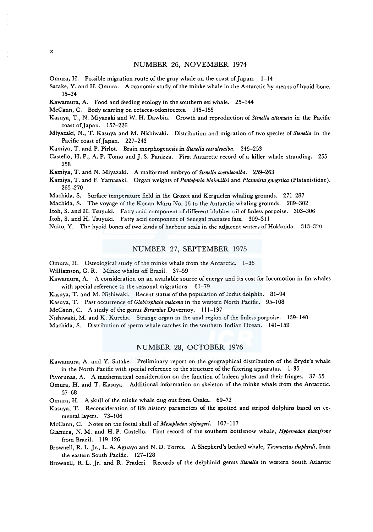### NUMBER 26, NOVEMBER 1974

Omura, H. Possible migration route of the gray whale on the coast of Japan. 1-14

Satake, Y. and H. Omura. A txonomic study of the minke whale in the Antarctic by means ofhyoid bone. 15-24

Kawamura, A. Food and feeding ecology in the southern sei whale. 25-144

McCann, C. Body scarring on cetacea-odontocetes. 145-155

- Kasuya, T., N. Miyazaki and W. H. Dawbin. Growth and reproduction of *Stenella allenuata* in the Pacific coast of Japan. 157-226
- Miyazaki, N., T. Kasuya and M. Nishiwaki. Distribution and migration of two species of *Stenella* in the Pacific coast of Japan. 227-243

Kamiya, T. and P. Pirlot. Brain morphogenesis in *Stenella coeruleoalba.* 245-253

Castello, H. P., A. P. Tomo and J. S. Panizza. First Antarctic record of a killer whale stranding. 255-258

Kamiya, T. and N. Miyazaki. A malformed embryo of *Stene/la coeruleoalba.* 259-263

Kamiya, T. and F. Yamasaki. Organ weights of *Pontoporia blainviUei* and *Platanista gangetica* (Platanistidae). 265-270

Machida, S. Surface temperature field in the Crozet and Kerguelen whaling grounds. 271-287

Machida, S. The voyage of the Konan Maru No. 16 to the Antarctic whaling grounds. 289-302

Itoh, S. and H. Tsuyuki. Fatty acid component of different blubber oil of finless porpoise. 303-306

Itoh, S. and H. Tsuyuki. Fatty acid component of Senegal manatee fats. 309-311

Naito, Y. The hyoid bones of two kinds of harbour seals in the adjacent waters of Hokkaido. 313-320

### NUMBER 27, SEPTEMBER 1975

Omura, H. Osteological study of the minke whale from the Antarctic. 1-36

Williamson, G. R. Minke whales off Brazil. 37-59

Kawamura, A. A consideration on an available source of energy and its cost for locomotion in fin whales with special reference to the seasonal migrations. 61-79

Kasuya, T. and M. Nishiwaki. Recent status of the population of Indus dolphin. 81-94

Kasuya, T. Past occurrence of *Globicephala melaena* in the western North Pacific. 95-108

McCann, C. A study of the genus *Berardius* Duvernoy. 111-137

Nishiwaki, M. and K. Kureha. Strange organ in the anal region of the finless porpoise. 139-140

Machida. S. Distribution of sperm whale catches in the southern Indian Ocean. 141-159

### NUMBER 28, OCTOBER 1976

Kawamura, A. and Y. Satake. Preliminary report on the geographical distribution of the Bryde's whale in the North Pacific with special reference to the structure of the filtering apparatus. 1-35

Pivorunas, A. A mathematical consideration on the function of baleen plates and their fringes. 37-55

Omura, H. and T. Kasuya. Additional information on skeleton of the minke whale from the Antarctic. 57-68

Omura, H. A skull of the minke whale dug out from Osaka. 69-72

Kasuya, T. Reconsideration of life history parameters of the spotted and striped dolphins based on cementa\ layers. 73-106

McCann, C. Notes on the foetal skull of *Mesoplodon stejnegeri.* 107-117

- Gianuca, N. M. and H. P. Castello. First record of the southern bottlenose whale, *Hyperoodon planifrons*  from Brazil. 119-126
- Brownell, R. L. Jr., L. A. Aguayo and N. D. Torres. A Shepherd's beaked whale, *Tasmacetus shepherdi,* from the eastern South Pacific. 127-128

Brownell, R. L. Jr. and R. Praderi. Records of the delphinid genus *Stene/la* in western South Atlantic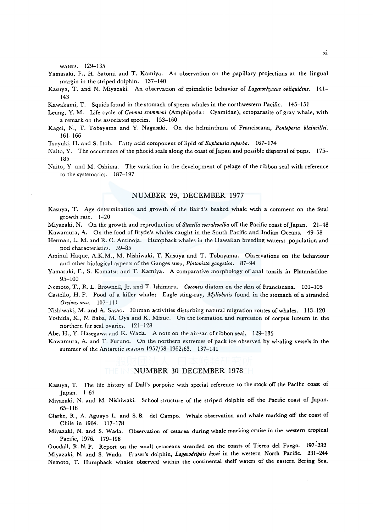waters. 129-135

- Yamasaki, F., H. Satomi and T. Kamiya. An observation on the papillary projections at the lingual margin in the striped dolphin. 137-140
- Kasuya, T. and N. Miyazaki. An observation of epimeletic behavior of *Lagenorhyncus obliquidens.* 141- 143
- Kawakami, T. Squids found in the stomach of sperm whales in the north western Pacific. 145-151
- Leung, Y. M. Life cycle of *qvamus scammoni* (Amphipoda: Cyamidae), ectoparasite of gray whale, with a remark on the associated species. 153-160
- Kagei, N., T. Tobayama and Y. Nagasaki. On the helminthum of Franciscana, *Pontoporia blainvillei.*  161-166
- Tsuyuki, H. and S. Itoh. Fatty acid component of lipid of *Euphausia superba.* 167-174
- Naito, Y. The occurrence of the phocid seals along the coast of Japan and possible dispersal of pups. 175- 185
- Naito, Y. and M. Oshima. The variation in the development of pelage of the ribbon seal with reference to the systematics. 187-197

### NUMBER 29, DECEMBER 1977

Kasuya, T. Age determination and growth of the Baird's beaked whale with a comment on the feta! growth rate. 1-20

Miyazaki, N. On the growth and reproduction of *Stenella coeruleoalba* off the Pacific coast of Japan. 21-48 Kawamura, A. On the food of Bryde's whales caught in the South Pacific and Indian Oceans. 49-58

- Herman, L. M. and R. C. Antinoja. Humpback whales in the Hawaiian breeding waters: population and
- pod characteristics. 59-85
- Aminul Haque, A.K.M., M. Nishiwaki, T. Kasuya and T. Tobayama. Observations on the behaviour and other biological aspects of the Ganges susu, *Platanista gangetica.* 87-94
- Yamasaki, F., S. Komatsu and T. Kamiya. A comparative morphology of anal tonsils in Platanistidae. 95-100
- Nemoto, T., R. L. Brownell, Jr. and T. Ishimaru. *Coconeis* diatom on the skin of Franciscana. 101-105
- Castello, H.P. Food of a killer whale: Eagle sting-ray, *Myliobatis* found in the stomach of a stranded *Orcinus orca,* 107-111
- Nishiwaki, M. and A. Sasao. Human activities disturbing natural migration routes of whales. 113-120
- Yoshida, K., N. Baba, M. Oya and K. Mizue. On the formation and regression of corpus luteum in the northern fur seal ovaries. 121-128
- Abe, H., Y. Hasegawa and K. Wada. A note on the air-sac of ribbon seal. 129-135
- Kawamura, A. and T. Furuno. On the northern extremes of pack ice observed by whaling vessels in the summer of the Antarctic seasons 1957 /58-1962/63. 137-141

#### NUMBER 30 DECEMBER 1978

- Kasuya, T. The life history of Dall's porpoise with special reference to the stock off the Pacific coast of Japan. 1-64
- Miyazaki, N. and M. Nishiwaki. School structure of the striped dolphin off the Pacific coast of Japan. 65-116
- Clarke, R., A. Aguayo L. and S. B. del Campo. Whale observation and whale marking off the coast of Chile in 1964. 117-178
- Miyazaki, N. and S. Wada. Observation of cetacea during whale marking cruise in the western tropical Pacific, 1976. 179-196

Goodall, R. N. P. Report on the small cetaceans stranded on the coasts of Tierra de! Fuego. 197-232 Miyazaki, N. and S. Wada. Fraser's dolphin, *Lage11odelphis hosei* in the western North Pacific. 231-244 Nemoto, T. Humpback whales observed within the continental shelf waters of the eastern Bering Sea.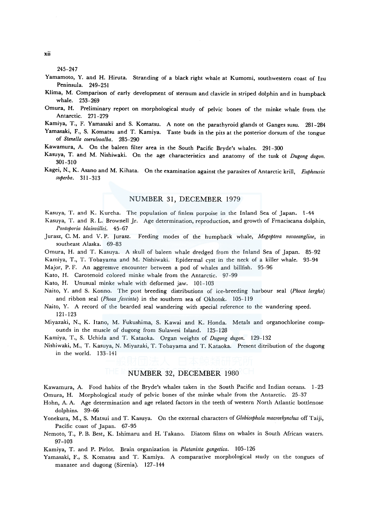245-247

- Yamamoto, Y. and H. Hiruta. Stranding of a black right whale at Kumomi, southwestern coast of Izu Peninsula. 249-251
- Klima, M. Comparison of early development of sternum and clavicle in striped dolphin and in humpback whale. 253-269
- Omura, H. Preliminary report on morphological study of pelvic bones of the minke whale from the Antarctic. 271-279
- Kamiya, T., F. Yamasaki and S. Komatsu. A note on the parathyroid glands of Ganges susu. 281-284
- Yamasaki, F., S. Komatsu and T. Kamiya. Taste buds in the pits at the posterior dorsum of the tongue of *Stenella coeruleoalba.* 285-290
- Kawamura, A. On the baleen filter area in the South Pacific Bryde's whales. 291-300
- Kasuya, T. and M. Nishiwaki. On the age characteristics and anatomy of the tusk of *Dugong dugon.*  301-310
- Kagei, N., K. Asano and M. Kihata. On the examination against the parasites of Antarctic krill, *Euphausia superba.* 311-313

### NUMBER 31, DECEMBER 1979

Kasuya, T. and K. Kureha. The population of finless porpoise in the Inland Sea of Japan, 1-44

- Kasuya, T. and R. L. Brownell Jr. Age determination, reproduction, and growth of Frnaciscana dolphin, *Po11toporia blainvillei.* 45-67
- Jurasz, C. M. and V. P. Jurasz. Feeding modes of the humpback whale, *Megaptera novaeangliae,* in southeast Alaska. 69-83
- Omura, H. and T. Kasuya. A skull of baleen whale dredged from the Inland Sea of Japan. 85-92
- Kamiya, T., T. Tobayama and M. Nishiwaki. Epidermal cyst in the neck of a killer whale. 93-94
- Major, P. F. An aggressive encounter between a pod of whales and billfish. 95-96
- Kato, H. Carotenoid colored minke whale from the Antarctic. 97-99
- Kato, H. Unusual minke whale with deformed jaw. 101-103
- Naito, Y. and S. Konno. The post breeding distributions of ice-breeding harbour seal *(Phoca largha)*  and ribbon seal *(Phoca fasciata)* in the southern sea of Okhotsk. 105-l 19
- Naito, Y. A record of the bearded seal wandering with special reference to the wandering speed. 121-123
- Miyazaki, N., K. Itano, M. Fukushima, S. Kawai and K. Honda. Metals and organochlorine compounds in the muscle of dugong from Sulawesi Island. 125-128
- Kamiya, T., S. Uchida and T. Kataoka. Organ weights of *Dugong dugon.* 129-132
- Nishiwaki, M., T. Kasuya, N. Miyazaki, T. Tobayama and T. Kataoka. Present ditribution of the dugong in the world. 133-141

### NUMBER 32, DECEMBER 1980

Kawamura, A. Food habits of the Bryde's whales taken in the South Pacific and Indian oceans. 1-23 Omura, H. Morphological study of pelvic bones of the minke whale from the Antarctic. 25-37

Hohn, A. A. Age determination and age related factors in the teeth of western North Atlantic bottlenose dolphins. 39-66

- Yonekura, M., S. Matsui and T. Kasuya. On the external characters of *Globicephala macrorhynchus* off Taiji, Pacific coast of Japan. 67-95
- Nemoto, T., P. B. Best, K. Ishimaru and H. Takano. Diatom films on whales in South African waters. 97-103

Kamiya, T. and P. Pirlot. Brain organization in *Platanista gangetica.* 105-126

Yamasaki, F., S. Komatsu and T. Kamiya. A comparative morphological study on the tongues of manatee and dugong (Sirenia). 127-144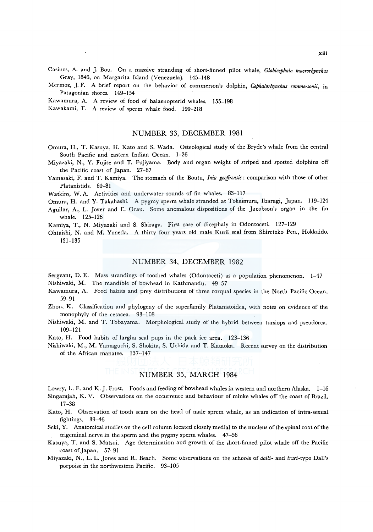Casinos, A. and *].* Bou. On a massive stranding of short-finned pilot whale, *Globicephala macrorhynchus*  Gray, 1846, on Margarita Island (Venezuela). 145-148

- Mermoz, *].* F. A brief report on the behavior of commerson's dolphin, *Cephalorhynchus commersonii,* in Patagonian shores. 149-154
- Kawamura, A. A review of food of balaenopterid whales. 155-198

Kawakami, T. A review of sperm whale food. 199-218

#### NUMBER 33, DECEMBER 1981

- Omura, H., T. Kasuya, H. Kato and S. Wada. Osteological study of the Bryde's whale from the central South Pacific and eastern Indian Ocean. 1-26
- Miyazaki, N., Y. Fujise and T. Fujiyama. Body and organ weight of striped and spotted dolphins off the Pacific coast of Japan. 27-67
- Yamasaki, F. and T. Kamiya. The stomach of the Boutu, *Inia geoffrensis:* comparison with those of other Platanistids. 69-81

Watkins, W. A. Activities and underwater sounds of fin whales. 83-117

- Omura, H. and Y. Takahashi. A pygmy sperm whale stranded at Tokaimura, Ibaragi, Japan. 119-124
- Aguilar, A., L. Jover and E. Grau. Some anomalous dispositions of the Jacobson's organ in the fin whale. 125-126

Kamiya, T., N. Miyazaki and S. Shiraga. First case of dicephaly in Odontoceti. 127-129

Ohtaishi, N. and M. Yoneda. A thirty four years old male Kuril seal from Shiretoko Pen., Hokkaido. 131-135

#### NUMBER 34, DECEMBER 1982

Sergeant, D. E. Mass strandings of toothed whales (Odontoceti) as a population phenomenon. 1-47 Nishiwaki, M. The mandible of bowhead in Kathmandu. 49-57

- Kawamura, A. Food habits and prey distributions of three rorqual species in the North Pacific Ocean. 59-91
- Zhou, K. Classification and phylogeny of the superfamily Platanistoidea, with notes on evidence of the monophyly of the cetacea. 93-108
- Nishiwaki, M. and T. Tobayama. Morphological study of the hybrid between tursiops and pseudorca. 109-121
- Kato, H. Food habits of largha seal pups in the pack ice area. 123-136

Nishiwaki, M., M. Yamaguchi, S. Shokita, S. Uchida and T. Kataoka. Recent survey on the distribution of the African manatee. 137-147

### NUMBER 35, MARCH 1984

Lowry, L. F. and K. J. Frost. Foods and feeding of bowhead whales in western and northern Alaska. 1-16 Singarajah, K. V. Observations on the occurrence and behaviour of minke whales off the coast of Brazil. 17-38

- Kato, H. Observation of tooth scars on the head of male sprem whale, as an indication of intra-sexual fightings. 39-46
- Seki, Y. Anatomical studies on the cell column located closely medial to the nucleus of the spinal root of the trigeminal nerve in the sperm and the pygmy sperm whales. 47-56
- Kasuya, T. and S. Matsui. Age determination and growth of the short-finned pilot whale off the Pacific coast of Japan. 57-91

Miyazaki, N., L. L. Jones and R. Beach. Some observations on the schools of *dalli-* and *truei-type* Dall's porpoise in the northwestern Pacific. 93-105